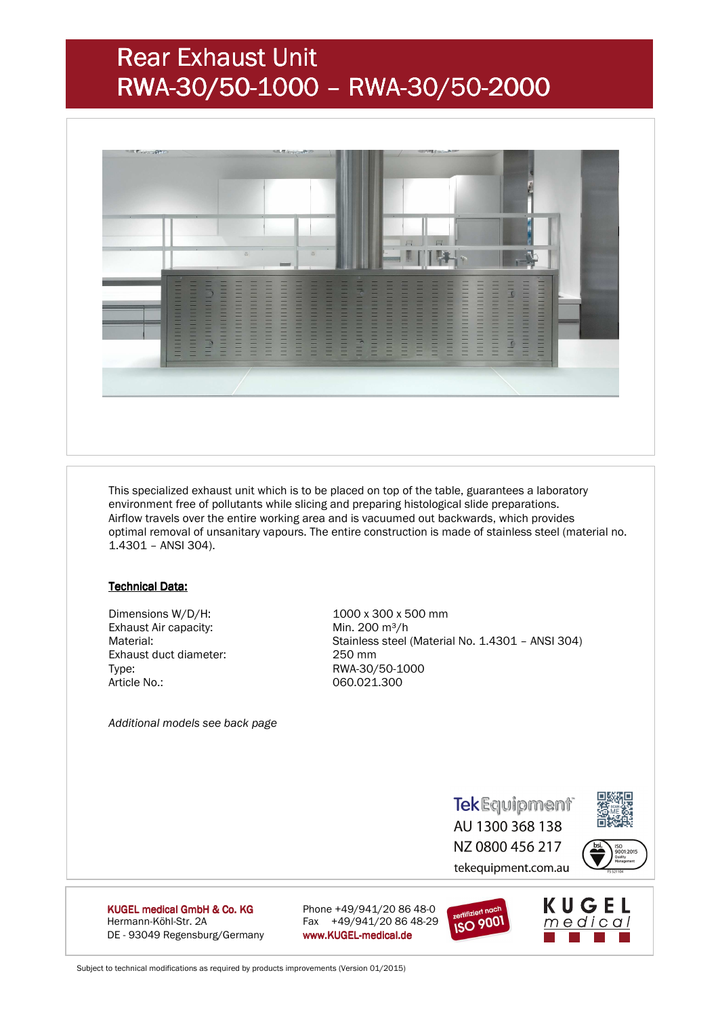# Rear Exhaust Unit RWA-30/50-1000 –RWA-30/50-2000



 This specialized exhaust unit which is to be placed on top of the table, guarantees a laboratory environment free of pollutants while slicing and preparing histological slide preparations. Airflow travels over the entire working area and is vacuumed out backwards, which provides optimal removal of unsanitary vapours. The entire construction is made of stainless steel (material no. 1.4301 – ANSI 304).

#### **Technical Data:**

 Dimensions W/D/H: 1000 x 300 x 500 mm Exhaust Air capacity: Min. 200 m<sup>3</sup>/h Exhaust duct diameter: 250 mm Type: RWA-30/50-1000 Article No.: 060.021.300

Material: Stainless steel (Material No. 1.4301 – ANSI 304)

 *Additional models see back page* 

**TekEquipment** AU 1300 368 138 NZ 0800 456 217 tekequipment.com.au



KUGEL medical GmbH & Co. KG Hermann-Köhl-Str. 2A Fax +49/941/20 86 48-29 DE - 93049 Regensburg/Germany www.KUGEL-medical.de

Phone +49/941/20 86 48-0



 $meq$ ical

Subject to technical modifications as required by products improvements (Version 01/2015)